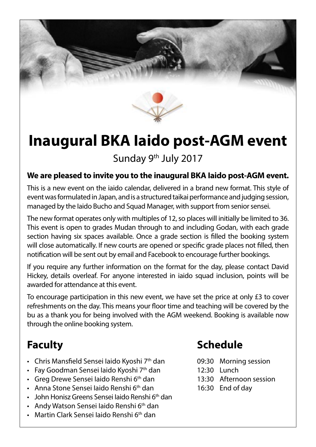

# **Inaugural BKA Iaido post-AGM event**

Sunday 9<sup>th</sup> July 2017

#### **We are pleased to invite you to the inaugural BKA Iaido post-AGM event.**

This is a new event on the iaido calendar, delivered in a brand new format. This style of event was formulated in Japan, and is a structured taikai performance and judging session, managed by the Iaido Bucho and Squad Manager, with support from senior sensei.

The new format operates only with multiples of 12, so places will initially be limited to 36. This event is open to grades Mudan through to and including Godan, with each grade section having six spaces available. Once a grade section is filled the booking system will close automatically. If new courts are opened or specific grade places not filled, then notification will be sent out by email and Facebook to encourage further bookings.

If you require any further information on the format for the day, please contact David Hickey, details overleaf. For anyone interested in iaido squad inclusion, points will be awarded for attendance at this event.

To encourage participation in this new event, we have set the price at only £3 to cover refreshments on the day. This means your floor time and teaching will be covered by the bu as a thank you for being involved with the AGM weekend. Booking is available now through the online booking system.

### **Faculty**

- Chris Mansfield Sensei Iaido Kyoshi 7<sup>th</sup> dan
- Fay Goodman Sensei laido Kyoshi 7<sup>th</sup> dan
- Greg Drewe Sensei laido Renshi  $6<sup>th</sup>$  dan
- Anna Stone Sensei laido Renshi 6<sup>th</sup> dan
- John Honisz Greens Sensei laido Renshi 6<sup>th</sup> dan
- Andy Watson Sensei laido Renshi 6<sup>th</sup> dan
- Martin Clark Sensei Iaido Renshi 6<sup>th</sup> dan

### **Schedule**

- 09:30 Morning session
- 12:30 Lunch
- 13:30 Afternoon session
- 16:30 End of day